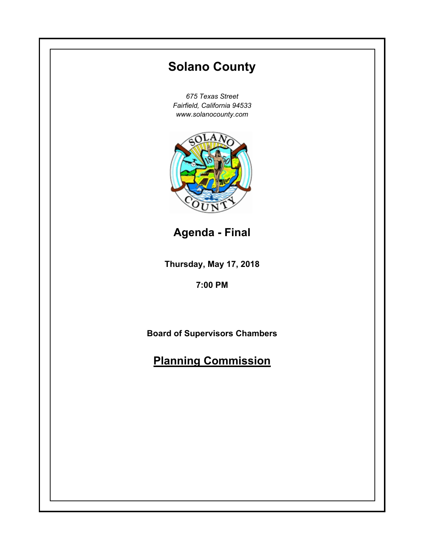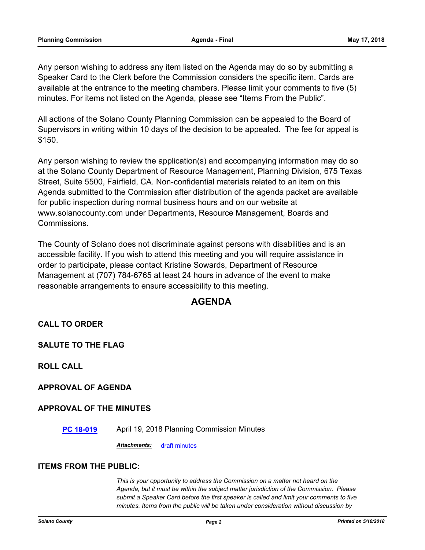Any person wishing to address any item listed on the Agenda may do so by submitting a Speaker Card to the Clerk before the Commission considers the specific item. Cards are available at the entrance to the meeting chambers. Please limit your comments to five (5) minutes. For items not listed on the Agenda, please see "Items From the Public".

All actions of the Solano County Planning Commission can be appealed to the Board of Supervisors in writing within 10 days of the decision to be appealed. The fee for appeal is \$150.

Any person wishing to review the application(s) and accompanying information may do so at the Solano County Department of Resource Management, Planning Division, 675 Texas Street, Suite 5500, Fairfield, CA. Non-confidential materials related to an item on this Agenda submitted to the Commission after distribution of the agenda packet are available for public inspection during normal business hours and on our website at www.solanocounty.com under Departments, Resource Management, Boards and Commissions.

The County of Solano does not discriminate against persons with disabilities and is an accessible facility. If you wish to attend this meeting and you will require assistance in order to participate, please contact Kristine Sowards, Department of Resource Management at (707) 784-6765 at least 24 hours in advance of the event to make reasonable arrangements to ensure accessibility to this meeting.

# **AGENDA**

# **CALL TO ORDER**

**SALUTE TO THE FLAG**

**ROLL CALL**

#### **APPROVAL OF AGENDA**

#### **APPROVAL OF THE MINUTES**

**[PC 18-019](#page-3-0)** April 19, 2018 Planning Commission Minutes

*Attachments:* [draft minutes](#page-4-0)

#### **ITEMS FROM THE PUBLIC:**

*This is your opportunity to address the Commission on a matter not heard on the Agenda, but it must be within the subject matter jurisdiction of the Commission. Please submit a Speaker Card before the first speaker is called and limit your comments to five minutes. Items from the public will be taken under consideration without discussion by*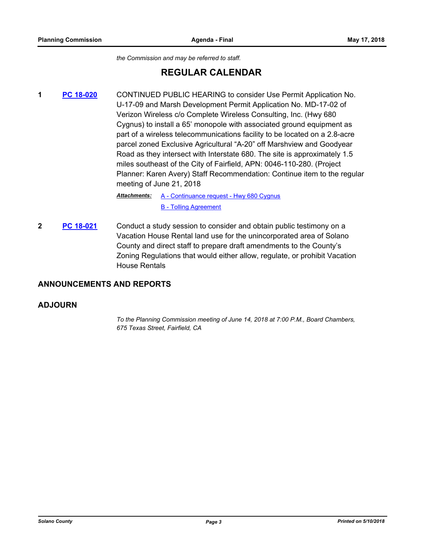*the Commission and may be referred to staff.*

# **REGULAR CALENDAR**

**1 [PC 18-020](#page-7-0)** CONTINUED PUBLIC HEARING to consider Use Permit Application No. U-17-09 and Marsh Development Permit Application No. MD-17-02 of Verizon Wireless c/o Complete Wireless Consulting, Inc. (Hwy 680 Cygnus) to install a 65' monopole with associated ground equipment as part of a wireless telecommunications facility to be located on a 2.8-acre parcel zoned Exclusive Agricultural "A-20" off Marshview and Goodyear Road as they intersect with Interstate 680. The site is approximately 1.5 miles southeast of the City of Fairfield, APN: 0046-110-280. (Project Planner: Karen Avery) Staff Recommendation: Continue item to the regular meeting of June 21, 2018

> Attachments: [A - Continuance request - Hwy 680 Cygnus](#page-8-0) [B - Tolling Agreement](#page-9-0)

**2 PC** 18-021 **Conduct a study session to consider and obtain public testimony on a** Vacation House Rental land use for the unincorporated area of Solano County and direct staff to prepare draft amendments to the County's Zoning Regulations that would either allow, regulate, or prohibit Vacation House Rentals

# **ANNOUNCEMENTS AND REPORTS**

#### **ADJOURN**

*To the Planning Commission meeting of June 14, 2018 at 7:00 P.M., Board Chambers, 675 Texas Street, Fairfield, CA*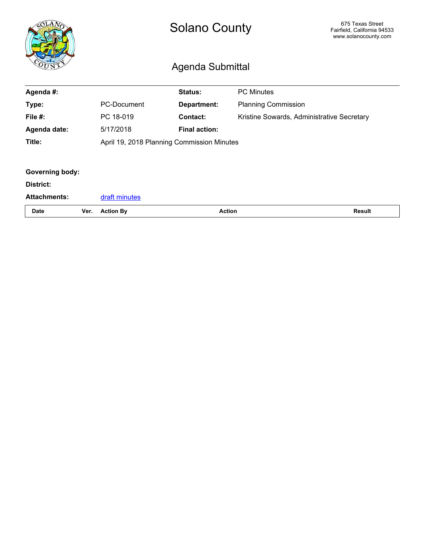<span id="page-3-0"></span>

|                     |      |                                            | <b>Solano County</b><br>Agenda Submittal | 675 Texas Street<br>Fairfield, California 94533<br>www.solanocounty.com |               |
|---------------------|------|--------------------------------------------|------------------------------------------|-------------------------------------------------------------------------|---------------|
| Agenda #:           |      |                                            | Status:                                  | <b>PC Minutes</b>                                                       |               |
| Type:               |      | <b>PC-Document</b>                         | <b>Department:</b>                       | <b>Planning Commission</b>                                              |               |
| File $#$ :          |      | PC 18-019                                  | <b>Contact:</b>                          | Kristine Sowards, Administrative Secretary                              |               |
| Agenda date:        |      | 5/17/2018                                  | <b>Final action:</b>                     |                                                                         |               |
| Title:              |      | April 19, 2018 Planning Commission Minutes |                                          |                                                                         |               |
|                     |      |                                            |                                          |                                                                         |               |
| Governing body:     |      |                                            |                                          |                                                                         |               |
| District:           |      |                                            |                                          |                                                                         |               |
| <b>Attachments:</b> |      | draft minutes                              |                                          |                                                                         |               |
| <b>Date</b>         | Ver. | <b>Action By</b>                           |                                          | <b>Action</b>                                                           | <b>Result</b> |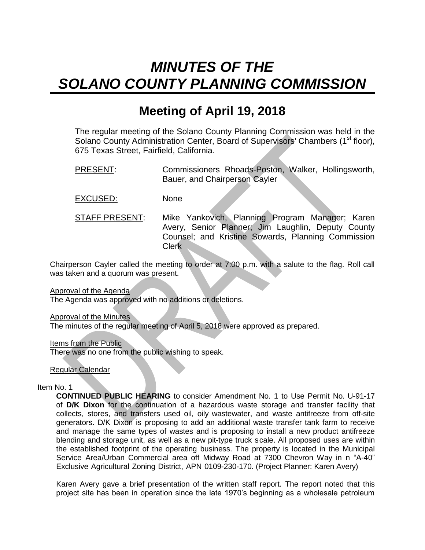# <span id="page-4-0"></span>*MINUTES OF THE SOLANO COUNTY PLANNING COMMISSION*

# **Meeting of April 19, 2018**

The regular meeting of the Solano County Planning Commission was held in the Solano County Administration Center, Board of Supervisors' Chambers (1<sup>st</sup> floor), 675 Texas Street, Fairfield, California.

PRESENT: Commissioners Rhoads-Poston, Walker, Hollingsworth, Bauer, and Chairperson Cayler

EXCUSED: None

STAFF PRESENT: Mike Yankovich, Planning Program Manager; Karen Avery, Senior Planner; Jim Laughlin, Deputy County Counsel; and Kristine Sowards, Planning Commission Clerk

Chairperson Cayler called the meeting to order at 7:00 p.m. with a salute to the flag. Roll call was taken and a quorum was present.

Approval of the Agenda

The Agenda was approved with no additions or deletions.

**Approval of the Minutes** 

The minutes of the regular meeting of April 5, 2018 were approved as prepared.

Items from the Public

There was no one from the public wishing to speak.

Regular Calendar

#### Item No. 1

**CONTINUED PUBLIC HEARING** to consider Amendment No. 1 to Use Permit No. U-91-17 of **D/K Dixon** for the continuation of a hazardous waste storage and transfer facility that collects, stores, and transfers used oil, oily wastewater, and waste antifreeze from off-site generators. D/K Dixon is proposing to add an additional waste transfer tank farm to receive and manage the same types of wastes and is proposing to install a new product antifreeze blending and storage unit, as well as a new pit-type truck scale. All proposed uses are within the established footprint of the operating business. The property is located in the Municipal Service Area/Urban Commercial area off Midway Road at 7300 Chevron Way in n "A-40" Exclusive Agricultural Zoning District, APN 0109-230-170. (Project Planner: Karen Avery)

Karen Avery gave a brief presentation of the written staff report. The report noted that this project site has been in operation since the late 1970's beginning as a wholesale petroleum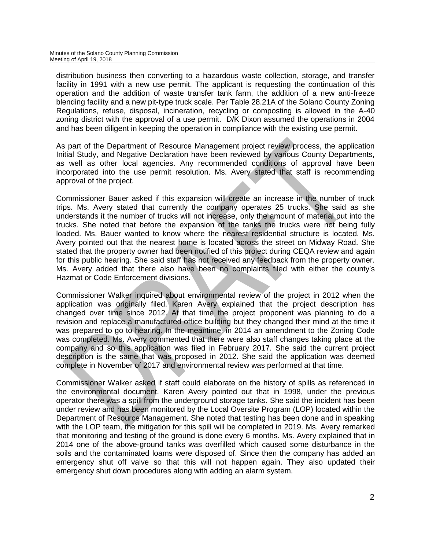distribution business then converting to a hazardous waste collection, storage, and transfer facility in 1991 with a new use permit. The applicant is requesting the continuation of this operation and the addition of waste transfer tank farm, the addition of a new anti-freeze blending facility and a new pit-type truck scale. Per Table 28.21A of the Solano County Zoning Regulations, refuse, disposal, incineration, recycling or composting is allowed in the A-40 zoning district with the approval of a use permit. D/K Dixon assumed the operations in 2004 and has been diligent in keeping the operation in compliance with the existing use permit.

As part of the Department of Resource Management project review process, the application Initial Study, and Negative Declaration have been reviewed by various County Departments, as well as other local agencies. Any recommended conditions of approval have been incorporated into the use permit resolution. Ms. Avery stated that staff is recommending approval of the project.

Commissioner Bauer asked if this expansion will create an increase in the number of truck trips. Ms. Avery stated that currently the company operates 25 trucks. She said as she understands it the number of trucks will not increase, only the amount of material put into the trucks. She noted that before the expansion of the tanks the trucks were not being fully loaded. Ms. Bauer wanted to know where the nearest residential structure is located. Ms. Avery pointed out that the nearest home is located across the street on Midway Road. She stated that the property owner had been notified of this project during CEQA review and again for this public hearing. She said staff has not received any feedback from the property owner. Ms. Avery added that there also have been no complaints filed with either the county's Hazmat or Code Enforcement divisions.

Commissioner Walker inquired about environmental review of the project in 2012 when the application was originally filed. Karen Avery explained that the project description has changed over time since 2012. At that time the project proponent was planning to do a revision and replace a manufactured office building but they changed their mind at the time it was prepared to go to hearing. In the meantime, in 2014 an amendment to the Zoning Code was completed. Ms. Avery commented that there were also staff changes taking place at the company and so this application was filed in February 2017. She said the current project description is the same that was proposed in 2012. She said the application was deemed complete in November of 2017 and environmental review was performed at that time.

Commissioner Walker asked if staff could elaborate on the history of spills as referenced in the environmental document. Karen Avery pointed out that in 1998, under the previous operator there was a spill from the underground storage tanks. She said the incident has been under review and has been monitored by the Local Oversite Program (LOP) located within the Department of Resource Management. She noted that testing has been done and in speaking with the LOP team, the mitigation for this spill will be completed in 2019. Ms. Avery remarked that monitoring and testing of the ground is done every 6 months. Ms. Avery explained that in 2014 one of the above-ground tanks was overfilled which caused some disturbance in the soils and the contaminated loams were disposed of. Since then the company has added an emergency shut off valve so that this will not happen again. They also updated their emergency shut down procedures along with adding an alarm system.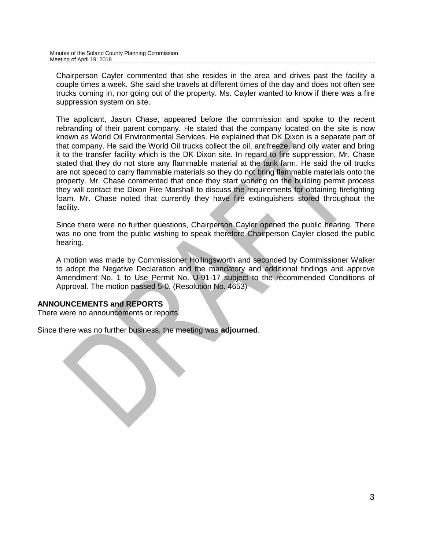Chairperson Cayler commented that she resides in the area and drives past the facility a couple times a week. She said she travels at different times of the day and does not often see trucks coming in, nor going out of the property. Ms. Cayler wanted to know if there was a fire suppression system on site.

The applicant, Jason Chase, appeared before the commission and spoke to the recent rebranding of their parent company. He stated that the company located on the site is now known as World Oil Environmental Services. He explained that DK Dixon is a separate part of that company. He said the World Oil trucks collect the oil, antifreeze, and oily water and bring it to the transfer facility which is the DK Dixon site. In regard to fire suppression, Mr. Chase stated that they do not store any flammable material at the tank farm. He said the oil trucks are not speced to carry flammable materials so they do not bring flammable materials onto the property. Mr. Chase commented that once they start working on the building permit process they will contact the Dixon Fire Marshall to discuss the requirements for obtaining firefighting foam. Mr. Chase noted that currently they have fire extinguishers stored throughout the facility.

Since there were no further questions, Chairperson Cayler opened the public hearing. There was no one from the public wishing to speak therefore Chairperson Cayler closed the public hearing.

A motion was made by Commissioner Hollingsworth and seconded by Commissioner Walker to adopt the Negative Declaration and the mandatory and additional findings and approve Amendment No. 1 to Use Permit No. U-91-17 subject to the recommended Conditions of Approval. The motion passed 5-0. (Resolution No. 4653)

# **ANNOUNCEMENTS and REPORTS**

There were no announcements or reports.

Since there was no further business, the meeting was **adjourned**.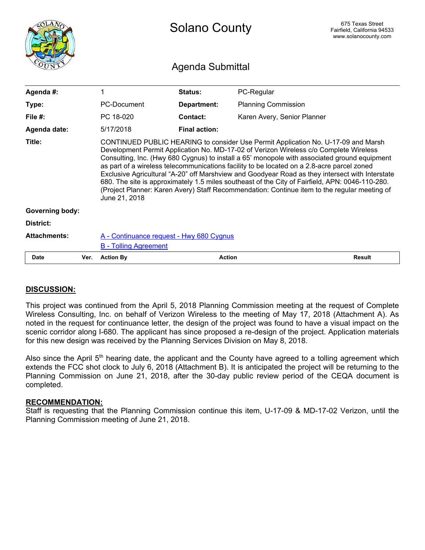<span id="page-7-0"></span>

|                        |      | <b>Solano County</b>                                                                                                                                                                                                                                                                                                                                                                                                                                                                                                                                                                                                                                                                            |                      |                             | 675 Texas Street<br>Fairfield, California 94533<br>www.solanocounty.com |  |  |
|------------------------|------|-------------------------------------------------------------------------------------------------------------------------------------------------------------------------------------------------------------------------------------------------------------------------------------------------------------------------------------------------------------------------------------------------------------------------------------------------------------------------------------------------------------------------------------------------------------------------------------------------------------------------------------------------------------------------------------------------|----------------------|-----------------------------|-------------------------------------------------------------------------|--|--|
| Agenda Submittal       |      |                                                                                                                                                                                                                                                                                                                                                                                                                                                                                                                                                                                                                                                                                                 |                      |                             |                                                                         |  |  |
| Agenda #:              |      | 1                                                                                                                                                                                                                                                                                                                                                                                                                                                                                                                                                                                                                                                                                               | Status:              | PC-Regular                  |                                                                         |  |  |
| Type:                  |      | PC-Document                                                                                                                                                                                                                                                                                                                                                                                                                                                                                                                                                                                                                                                                                     | Department:          | <b>Planning Commission</b>  |                                                                         |  |  |
| File #:                |      | PC 18-020                                                                                                                                                                                                                                                                                                                                                                                                                                                                                                                                                                                                                                                                                       | Contact:             | Karen Avery, Senior Planner |                                                                         |  |  |
| Agenda date:           |      | 5/17/2018                                                                                                                                                                                                                                                                                                                                                                                                                                                                                                                                                                                                                                                                                       | <b>Final action:</b> |                             |                                                                         |  |  |
| Title:                 |      | CONTINUED PUBLIC HEARING to consider Use Permit Application No. U-17-09 and Marsh<br>Development Permit Application No. MD-17-02 of Verizon Wireless c/o Complete Wireless<br>Consulting, Inc. (Hwy 680 Cygnus) to install a 65' monopole with associated ground equipment<br>as part of a wireless telecommunications facility to be located on a 2.8-acre parcel zoned<br>Exclusive Agricultural "A-20" off Marshview and Goodyear Road as they intersect with Interstate<br>680. The site is approximately 1.5 miles southeast of the City of Fairfield, APN: 0046-110-280.<br>(Project Planner: Karen Avery) Staff Recommendation: Continue item to the regular meeting of<br>June 21, 2018 |                      |                             |                                                                         |  |  |
| <b>Governing body:</b> |      |                                                                                                                                                                                                                                                                                                                                                                                                                                                                                                                                                                                                                                                                                                 |                      |                             |                                                                         |  |  |
| District:              |      |                                                                                                                                                                                                                                                                                                                                                                                                                                                                                                                                                                                                                                                                                                 |                      |                             |                                                                         |  |  |
| <b>Attachments:</b>    |      | A - Continuance request - Hwy 680 Cygnus<br><b>B</b> - Tolling Agreement                                                                                                                                                                                                                                                                                                                                                                                                                                                                                                                                                                                                                        |                      |                             |                                                                         |  |  |
| <b>Date</b>            | Ver. | <b>Action By</b>                                                                                                                                                                                                                                                                                                                                                                                                                                                                                                                                                                                                                                                                                | <b>Action</b>        |                             | <b>Result</b>                                                           |  |  |

# **DISCUSSION:**

This project was continued from the April 5, 2018 Planning Commission meeting at the request of Complete Wireless Consulting, Inc. on behalf of Verizon Wireless to the meeting of May 17, 2018 (Attachment A). As noted in the request for continuance letter, the design of the project was found to have a visual impact on the scenic corridor along I-680. The applicant has since proposed a re-design of the project. Application materials for this new design was received by the Planning Services Division on May 8, 2018.

Also since the April  $5<sup>th</sup>$  hearing date, the applicant and the County have agreed to a tolling agreement which extends the FCC shot clock to July 6, 2018 (Attachment B). It is anticipated the project will be returning to the Planning Commission on June 21, 2018, after the 30-day public review period of the CEQA document is completed.

#### **RECOMMENDATION:**

Staff is requesting that the Planning Commission continue this item, U-17-09 & MD-17-02 Verizon, until the Planning Commission meeting of June 21, 2018.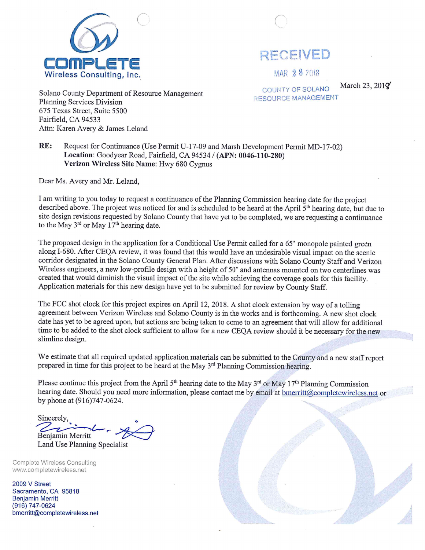

RECEIVED

MAR 28 2018

March 23,  $201\%$ 

Solano County Department of Resource Management **Planning Services Division** 675 Texas Street, Suite 5500 Fairfield, CA 94533 Attn: Karen Avery & James Leland

**COUNTY OF SOLANO** RESOURCE MANAGEMENT

RE: Request for Continuance (Use Permit U-17-09 and Marsh Development Permit MD-17-02) Location: Goodyear Road, Fairfield, CA 94534 / (APN: 0046-110-280) Verizon Wireless Site Name: Hwy 680 Cygnus

Dear Ms. Avery and Mr. Leland,

I am writing to you today to request a continuance of the Planning Commission hearing date for the project described above. The project was noticed for and is scheduled to be heard at the April 5<sup>th</sup> hearing date, but due to site design revisions requested by Solano County that have yet to be completed, we are requesting a continuance to the May  $3^{rd}$  or May  $17^{th}$  hearing date.

The proposed design in the application for a Conditional Use Permit called for a 65' monopole painted green along I-680. After CEQA review, it was found that this would have an undesirable visual impact on the scenic corridor designated in the Solano County General Plan. After discussions with Solano County Staff and Verizon Wireless engineers, a new low-profile design with a height of 50' and antennas mounted on two centerlines was created that would diminish the visual impact of the site while achieving the coverage goals for this facility. Application materials for this new design have yet to be submitted for review by County Staff.

The FCC shot clock for this project expires on April 12, 2018. A shot clock extension by way of a tolling agreement between Verizon Wireless and Solano County is in the works and is forthcoming. A new shot clock date has yet to be agreed upon, but actions are being taken to come to an agreement that will allow for additional time to be added to the shot clock sufficient to allow for a new CEQA review should it be necessary for the new slimline design.

We estimate that all required updated application materials can be submitted to the County and a new staff report prepared in time for this project to be heard at the May 3<sup>rd</sup> Planning Commission hearing.

Please continue this project from the April 5<sup>th</sup> hearing date to the May  $3^{rd}$  or May  $17^{th}$  Planning Commission hearing date. Should you need more information, please contact me by email at bmerritt@completewireless.net or by phone at (916)747-0624.

Sincerely, Benjamin Merritt

Land Use Planning Specialist

**Complete Wireless Consulting** www.completewireless.net

2009 V Street Sacramento, CA 95818 **Benjamin Merritt** (916) 747-0624 bmerritt@completewireless.net

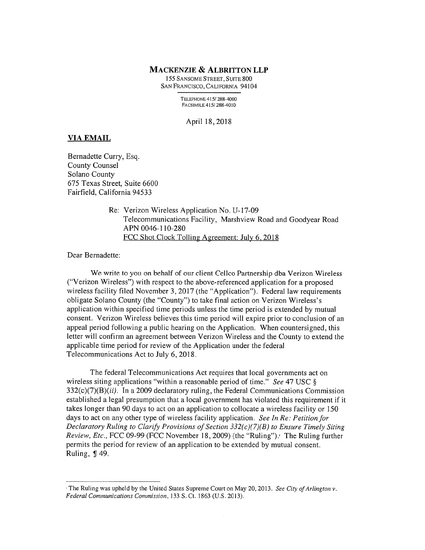#### **MACKENZIE & ALBRITTON LLP**

155 SANSOME STREET, SUITE 800 SAN FRANCISCO, CALIFORNIA 94104

> TELEPHONE 415/288-4000 FACSIMILE 415/288-4010

April 18, 2018

#### **VIA EMAIL**

Bernadette Curry, Esq. **County Counsel** Solano County 675 Texas Street, Suite 6600 Fairfield, California 94533

> Re: Verizon Wireless Application No. U-17-09 Telecommunications Facility, Marshview Road and Goodyear Road APN 0046-110-280 FCC Shot Clock Tolling Agreement: July 6, 2018

Dear Bernadette:

We write to you on behalf of our client Cellco Partnership dba Verizon Wireless ("Verizon Wireless") with respect to the above-referenced application for a proposed wireless facility filed November 3, 2017 (the "Application"). Federal law requirements obligate Solano County (the "County") to take final action on Verizon Wireless's application within specified time periods unless the time period is extended by mutual consent. Verizon Wireless believes this time period will expire prior to conclusion of an appeal period following a public hearing on the Application. When countersigned, this letter will confirm an agreement between Verizon Wireless and the County to extend the applicable time period for review of the Application under the federal Telecommunications Act to July 6, 2018.

The federal Telecommunications Act requires that local governments act on wireless siting applications "within a reasonable period of time." See 47 USC §  $332(c)(7)(B)(ii)$ . In a 2009 declaratory ruling, the Federal Communications Commission established a legal presumption that a local government has violated this requirement if it takes longer than 90 days to act on an application to collocate a wireless facility or 150 days to act on any other type of wireless facility application. See In Re: Petition for Declaratory Ruling to Clarify Provisions of Section  $332(c)(7)(B)$  to Ensure Timely Siting Review, Etc., FCC 09-99 (FCC November 18, 2009) (the "Ruling"). The Ruling further permits the period for review of an application to be extended by mutual consent. Ruling, ¶49.

The Ruling was upheld by the United States Supreme Court on May 20, 2013. See City of Arlington v. Federal Communications Commission, 133 S. Ct. 1863 (U.S. 2013).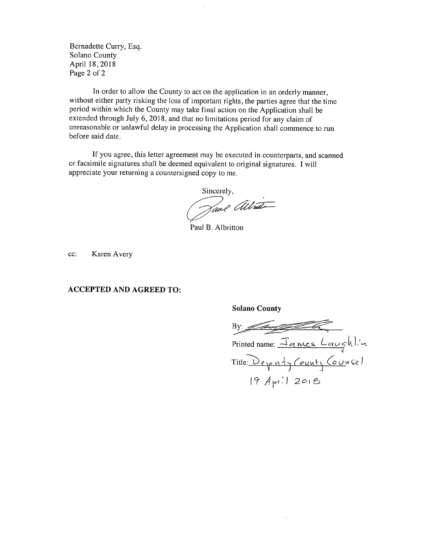Bernadette Curry, Esq. Solano County April 18, 2018 Page 2 of 2

In order to allow the County to act on the application in an orderly manner, without either party risking the loss of important rights, the parties agree that the time period within which the County may take final action on the Application shall be extended through July 6, 2018, and that no limitations period for any claim of unreasonable or unlawful delay in processing the Application shall commence to run before said date.

If you agree, this letter agreement may be executed in counterparts, and scanned or facsimile signatures shall be deemed equivalent to original signatures. I will appreciate your returning a countersigned copy to me.

Sincerely,

Tave altride

**Solano County** 

Paul B. Albritton

Karen Avery cc:

#### **ACCEPTED AND AGREED TO:**

By:  $\equiv$ Printed name: James Laughlin  $19$  Apr. 2018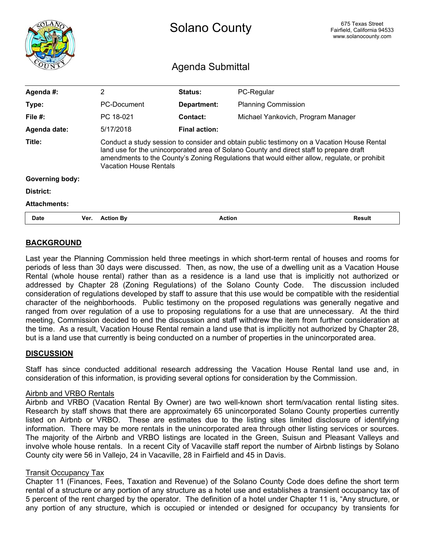<span id="page-11-0"></span>

|                        |      |                                                                                                                                                                                                                                                                                                                        | 675 Texas Street<br>Fairfield, California 94533<br>www.solanocounty.com |                                    |               |  |  |
|------------------------|------|------------------------------------------------------------------------------------------------------------------------------------------------------------------------------------------------------------------------------------------------------------------------------------------------------------------------|-------------------------------------------------------------------------|------------------------------------|---------------|--|--|
|                        |      | Agenda Submittal                                                                                                                                                                                                                                                                                                       |                                                                         |                                    |               |  |  |
| Agenda #:              |      | $\overline{2}$                                                                                                                                                                                                                                                                                                         | Status:                                                                 | PC-Regular                         |               |  |  |
| Type:                  |      | PC-Document                                                                                                                                                                                                                                                                                                            | <b>Department:</b>                                                      | <b>Planning Commission</b>         |               |  |  |
| File $#$ :             |      | PC 18-021                                                                                                                                                                                                                                                                                                              | Contact:                                                                | Michael Yankovich, Program Manager |               |  |  |
| Agenda date:           |      | 5/17/2018                                                                                                                                                                                                                                                                                                              | <b>Final action:</b>                                                    |                                    |               |  |  |
| Title:                 |      | Conduct a study session to consider and obtain public testimony on a Vacation House Rental<br>land use for the unincorporated area of Solano County and direct staff to prepare draft<br>amendments to the County's Zoning Regulations that would either allow, regulate, or prohibit<br><b>Vacation House Rentals</b> |                                                                         |                                    |               |  |  |
| <b>Governing body:</b> |      |                                                                                                                                                                                                                                                                                                                        |                                                                         |                                    |               |  |  |
| District:              |      |                                                                                                                                                                                                                                                                                                                        |                                                                         |                                    |               |  |  |
| <b>Attachments:</b>    |      |                                                                                                                                                                                                                                                                                                                        |                                                                         |                                    |               |  |  |
| <b>Date</b>            | Ver. | <b>Action By</b>                                                                                                                                                                                                                                                                                                       | <b>Action</b>                                                           |                                    | <b>Result</b> |  |  |

# **BACKGROUND**

Last year the Planning Commission held three meetings in which short-term rental of houses and rooms for periods of less than 30 days were discussed. Then, as now, the use of a dwelling unit as a Vacation House Rental (whole house rental) rather than as a residence is a land use that is implicitly not authorized or addressed by Chapter 28 (Zoning Regulations) of the Solano County Code. The discussion included consideration of regulations developed by staff to assure that this use would be compatible with the residential character of the neighborhoods. Public testimony on the proposed regulations was generally negative and ranged from over regulation of a use to proposing regulations for a use that are unnecessary. At the third meeting, Commission decided to end the discussion and staff withdrew the item from further consideration at the time. As a result, Vacation House Rental remain a land use that is implicitly not authorized by Chapter 28, but is a land use that currently is being conducted on a number of properties in the unincorporated area.

# **DISCUSSION**

Staff has since conducted additional research addressing the Vacation House Rental land use and, in consideration of this information, is providing several options for consideration by the Commission.

#### Airbnb and VRBO Rentals

Airbnb and VRBO (Vacation Rental By Owner) are two well-known short term/vacation rental listing sites. Research by staff shows that there are approximately 65 unincorporated Solano County properties currently listed on Airbnb or VRBO. These are estimates due to the listing sites limited disclosure of identifying information. There may be more rentals in the unincorporated area through other listing services or sources. The majority of the Airbnb and VRBO listings are located in the Green, Suisun and Pleasant Valleys and involve whole house rentals. In a recent City of Vacaville staff report the number of Airbnb listings by Solano County city were 56 in Vallejo, 24 in Vacaville, 28 in Fairfield and 45 in Davis.

#### Transit Occupancy Tax

Chapter 11 (Finances, Fees, Taxation and Revenue) of the Solano County Code does define the short term rental of a structure or any portion of any structure as a hotel use and establishes a transient occupancy tax of 5 percent of the rent charged by the operator. The definition of a hotel under Chapter 11 is, "Any structure, or any portion of any structure, which is occupied or intended or designed for occupancy by transients for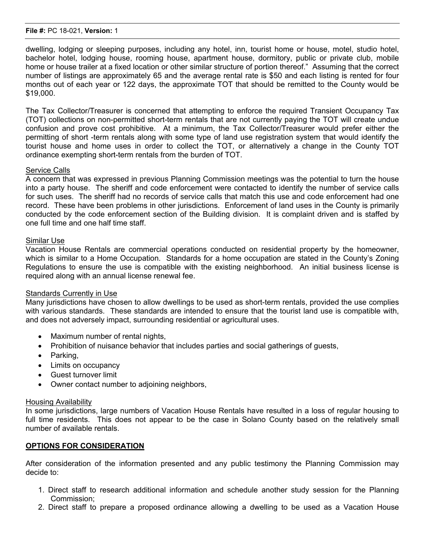#### File #: PC 18-021, Version: 1

dwelling, lodging or sleeping purposes, including any hotel, inn, tourist home or house, motel, studio hotel, bachelor hotel, lodging house, rooming house, apartment house, dormitory, public or private club, mobile home or house trailer at a fixed location or other similar structure of portion thereof." Assuming that the correct number of listings are approximately 65 and the average rental rate is \$50 and each listing is rented for four months out of each year or 122 days, the approximate TOT that should be remitted to the County would be \$19,000.

The Tax Collector/Treasurer is concerned that attempting to enforce the required Transient Occupancy Tax (TOT) collections on non-permitted short-term rentals that are not currently paying the TOT will create undue confusion and prove cost prohibitive. At a minimum, the Tax Collector/Treasurer would prefer either the permitting of short -term rentals along with some type of land use registration system that would identify the tourist house and home uses in order to collect the TOT, or alternatively a change in the County TOT ordinance exempting short-term rentals from the burden of TOT.

#### Service Calls

A concern that was expressed in previous Planning Commission meetings was the potential to turn the house into a party house. The sheriff and code enforcement were contacted to identify the number of service calls for such uses. The sheriff had no records of service calls that match this use and code enforcement had one record. These have been problems in other jurisdictions. Enforcement of land uses in the County is primarily conducted by the code enforcement section of the Building division. It is complaint driven and is staffed by one full time and one half time staff.

#### Similar Use

Vacation House Rentals are commercial operations conducted on residential property by the homeowner, which is similar to a Home Occupation. Standards for a home occupation are stated in the County's Zoning Regulations to ensure the use is compatible with the existing neighborhood. An initial business license is required along with an annual license renewal fee.

#### Standards Currently in Use

Many jurisdictions have chosen to allow dwellings to be used as short-term rentals, provided the use complies with various standards. These standards are intended to ensure that the tourist land use is compatible with, and does not adversely impact, surrounding residential or agricultural uses.

- · Maximum number of rental nights,
- · Prohibition of nuisance behavior that includes parties and social gatherings of guests,
- Parking,
- · Limits on occupancy
- · Guest turnover limit
- Owner contact number to adjoining neighbors,

#### Housing Availability

In some jurisdictions, large numbers of Vacation House Rentals have resulted in a loss of regular housing to full time residents. This does not appear to be the case in Solano County based on the relatively small number of available rentals.

# **OPTIONS FOR CONSIDERATION**

After consideration of the information presented and any public testimony the Planning Commission may decide to:

- 1. Direct staff to research additional information and schedule another study session for the Planning Commission;
- 2. Direct staff to prepare a proposed ordinance allowing a dwelling to be used as a Vacation House